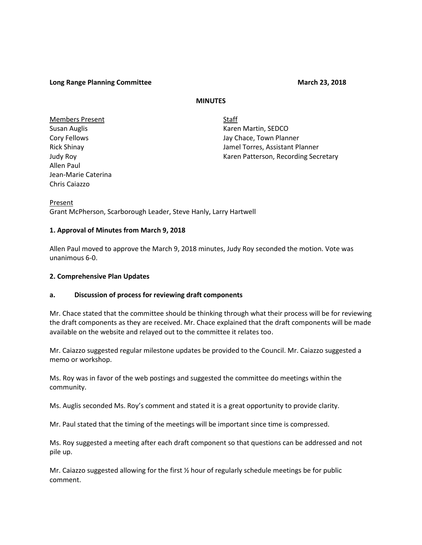### **Long Range Planning Committee March 23, 2018**

### **MINUTES**

Members Present Staff Allen Paul Jean-Marie Caterina Chris Caiazzo

Susan Auglis **Karen Martin, SEDCO** Cory Fellows Jay Chace, Town Planner Rick Shinay Jamel Torres, Assistant Planner Judy Roy **Karen Patterson, Recording Secretary** Karen Patterson, Recording Secretary

Present Grant McPherson, Scarborough Leader, Steve Hanly, Larry Hartwell

### **1. Approval of Minutes from March 9, 2018**

Allen Paul moved to approve the March 9, 2018 minutes, Judy Roy seconded the motion. Vote was unanimous 6-0.

### **2. Comprehensive Plan Updates**

### **a. Discussion of process for reviewing draft components**

Mr. Chace stated that the committee should be thinking through what their process will be for reviewing the draft components as they are received. Mr. Chace explained that the draft components will be made available on the website and relayed out to the committee it relates too.

Mr. Caiazzo suggested regular milestone updates be provided to the Council. Mr. Caiazzo suggested a memo or workshop.

Ms. Roy was in favor of the web postings and suggested the committee do meetings within the community.

Ms. Auglis seconded Ms. Roy's comment and stated it is a great opportunity to provide clarity.

Mr. Paul stated that the timing of the meetings will be important since time is compressed.

Ms. Roy suggested a meeting after each draft component so that questions can be addressed and not pile up.

Mr. Caiazzo suggested allowing for the first ½ hour of regularly schedule meetings be for public comment.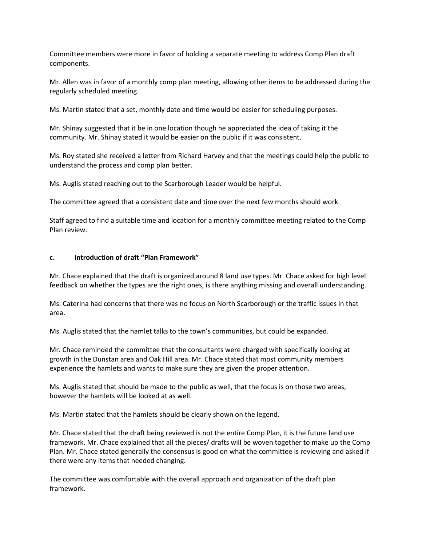Committee members were more in favor of holding a separate meeting to address Comp Plan draft components.

Mr. Allen was in favor of a monthly comp plan meeting, allowing other items to be addressed during the regularly scheduled meeting.

Ms. Martin stated that a set, monthly date and time would be easier for scheduling purposes.

Mr. Shinay suggested that it be in one location though he appreciated the idea of taking it the community. Mr. Shinay stated it would be easier on the public if it was consistent.

Ms. Roy stated she received a letter from Richard Harvey and that the meetings could help the public to understand the process and comp plan better.

Ms. Auglis stated reaching out to the Scarborough Leader would be helpful.

The committee agreed that a consistent date and time over the next few months should work.

Staff agreed to find a suitable time and location for a monthly committee meeting related to the Comp Plan review.

# **c. Introduction of draft "Plan Framework"**

Mr. Chace explained that the draft is organized around 8 land use types. Mr. Chace asked for high level feedback on whether the types are the right ones, is there anything missing and overall understanding.

Ms. Caterina had concerns that there was no focus on North Scarborough or the traffic issues in that area.

Ms. Auglis stated that the hamlet talks to the town's communities, but could be expanded.

Mr. Chace reminded the committee that the consultants were charged with specifically looking at growth in the Dunstan area and Oak Hill area. Mr. Chace stated that most community members experience the hamlets and wants to make sure they are given the proper attention.

Ms. Auglis stated that should be made to the public as well, that the focus is on those two areas, however the hamlets will be looked at as well.

Ms. Martin stated that the hamlets should be clearly shown on the legend.

Mr. Chace stated that the draft being reviewed is not the entire Comp Plan, it is the future land use framework. Mr. Chace explained that all the pieces/ drafts will be woven together to make up the Comp Plan. Mr. Chace stated generally the consensus is good on what the committee is reviewing and asked if there were any items that needed changing.

The committee was comfortable with the overall approach and organization of the draft plan framework.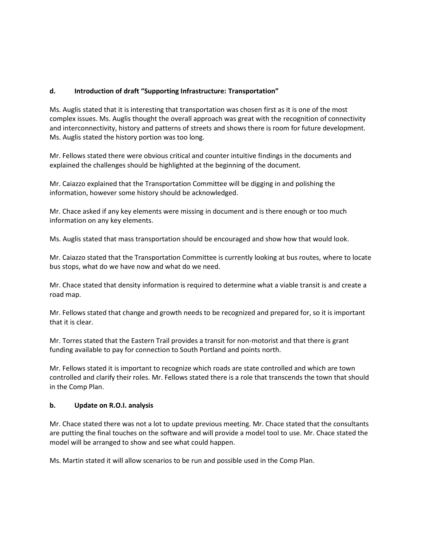# **d. Introduction of draft "Supporting Infrastructure: Transportation"**

Ms. Auglis stated that it is interesting that transportation was chosen first as it is one of the most complex issues. Ms. Auglis thought the overall approach was great with the recognition of connectivity and interconnectivity, history and patterns of streets and shows there is room for future development. Ms. Auglis stated the history portion was too long.

Mr. Fellows stated there were obvious critical and counter intuitive findings in the documents and explained the challenges should be highlighted at the beginning of the document.

Mr. Caiazzo explained that the Transportation Committee will be digging in and polishing the information, however some history should be acknowledged.

Mr. Chace asked if any key elements were missing in document and is there enough or too much information on any key elements.

Ms. Auglis stated that mass transportation should be encouraged and show how that would look.

Mr. Caiazzo stated that the Transportation Committee is currently looking at bus routes, where to locate bus stops, what do we have now and what do we need.

Mr. Chace stated that density information is required to determine what a viable transit is and create a road map.

Mr. Fellows stated that change and growth needs to be recognized and prepared for, so it is important that it is clear.

Mr. Torres stated that the Eastern Trail provides a transit for non-motorist and that there is grant funding available to pay for connection to South Portland and points north.

Mr. Fellows stated it is important to recognize which roads are state controlled and which are town controlled and clarify their roles. Mr. Fellows stated there is a role that transcends the town that should in the Comp Plan.

# **b. Update on R.O.I. analysis**

Mr. Chace stated there was not a lot to update previous meeting. Mr. Chace stated that the consultants are putting the final touches on the software and will provide a model tool to use. Mr. Chace stated the model will be arranged to show and see what could happen.

Ms. Martin stated it will allow scenarios to be run and possible used in the Comp Plan.